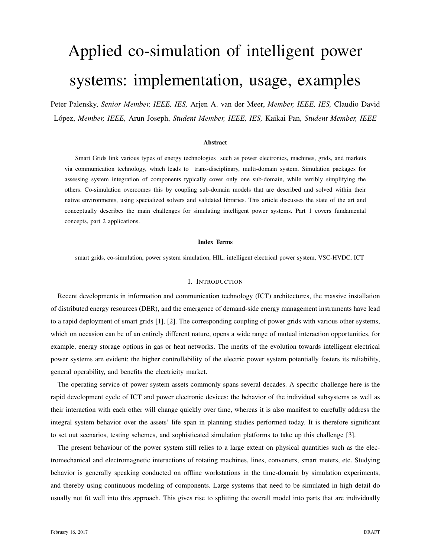# Applied co-simulation of intelligent power systems: implementation, usage, examples

Peter Palensky, *Senior Member, IEEE, IES,* Arjen A. van der Meer, *Member, IEEE, IES,* Claudio David Lopez, ´ *Member, IEEE,* Arun Joseph, *Student Member, IEEE, IES,* Kaikai Pan, *Student Member, IEEE*

#### Abstract

Smart Grids link various types of energy technologies such as power electronics, machines, grids, and markets via communication technology, which leads to trans-disciplinary, multi-domain system. Simulation packages for assessing system integration of components typically cover only one sub-domain, while terribly simplifying the others. Co-simulation overcomes this by coupling sub-domain models that are described and solved within their native environments, using specialized solvers and validated libraries. This article discusses the state of the art and conceptually describes the main challenges for simulating intelligent power systems. Part 1 covers fundamental concepts, part 2 applications.

#### Index Terms

smart grids, co-simulation, power system simulation, HIL, intelligent electrical power system, VSC-HVDC, ICT

#### I. INTRODUCTION

Recent developments in information and communication technology (ICT) architectures, the massive installation of distributed energy resources (DER), and the emergence of demand-side energy management instruments have lead to a rapid deployment of smart grids [1], [2]. The corresponding coupling of power grids with various other systems, which on occasion can be of an entirely different nature, opens a wide range of mutual interaction opportunities, for example, energy storage options in gas or heat networks. The merits of the evolution towards intelligent electrical power systems are evident: the higher controllability of the electric power system potentially fosters its reliability, general operability, and benefits the electricity market.

The operating service of power system assets commonly spans several decades. A specific challenge here is the rapid development cycle of ICT and power electronic devices: the behavior of the individual subsystems as well as their interaction with each other will change quickly over time, whereas it is also manifest to carefully address the integral system behavior over the assets' life span in planning studies performed today. It is therefore significant to set out scenarios, testing schemes, and sophisticated simulation platforms to take up this challenge [3].

The present behaviour of the power system still relies to a large extent on physical quantities such as the electromechanical and electromagnetic interactions of rotating machines, lines, converters, smart meters, etc. Studying behavior is generally speaking conducted on offline workstations in the time-domain by simulation experiments, and thereby using continuous modeling of components. Large systems that need to be simulated in high detail do usually not fit well into this approach. This gives rise to splitting the overall model into parts that are individually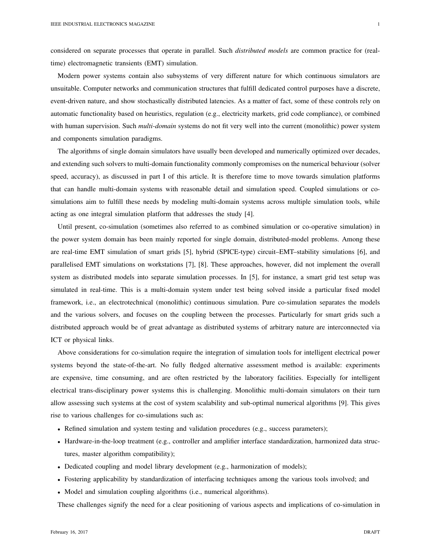considered on separate processes that operate in parallel. Such *distributed models* are common practice for (realtime) electromagnetic transients (EMT) simulation.

Modern power systems contain also subsystems of very different nature for which continuous simulators are unsuitable. Computer networks and communication structures that fulfill dedicated control purposes have a discrete, event-driven nature, and show stochastically distributed latencies. As a matter of fact, some of these controls rely on automatic functionality based on heuristics, regulation (e.g., electricity markets, grid code compliance), or combined with human supervision. Such *multi-domain* systems do not fit very well into the current (monolithic) power system and components simulation paradigms.

The algorithms of single domain simulators have usually been developed and numerically optimized over decades, and extending such solvers to multi-domain functionality commonly compromises on the numerical behaviour (solver speed, accuracy), as discussed in part I of this article. It is therefore time to move towards simulation platforms that can handle multi-domain systems with reasonable detail and simulation speed. Coupled simulations or cosimulations aim to fulfill these needs by modeling multi-domain systems across multiple simulation tools, while acting as one integral simulation platform that addresses the study [4].

Until present, co-simulation (sometimes also referred to as combined simulation or co-operative simulation) in the power system domain has been mainly reported for single domain, distributed-model problems. Among these are real-time EMT simulation of smart grids [5], hybrid (SPICE-type) circuit–EMT–stability simulations [6], and parallelised EMT simulations on workstations [7], [8]. These approaches, however, did not implement the overall system as distributed models into separate simulation processes. In [5], for instance, a smart grid test setup was simulated in real-time. This is a multi-domain system under test being solved inside a particular fixed model framework, i.e., an electrotechnical (monolithic) continuous simulation. Pure co-simulation separates the models and the various solvers, and focuses on the coupling between the processes. Particularly for smart grids such a distributed approach would be of great advantage as distributed systems of arbitrary nature are interconnected via ICT or physical links.

Above considerations for co-simulation require the integration of simulation tools for intelligent electrical power systems beyond the state-of-the-art. No fully fledged alternative assessment method is available: experiments are expensive, time consuming, and are often restricted by the laboratory facilities. Especially for intelligent electrical trans-disciplinary power systems this is challenging. Monolithic multi-domain simulators on their turn allow assessing such systems at the cost of system scalability and sub-optimal numerical algorithms [9]. This gives rise to various challenges for co-simulations such as:

- Refined simulation and system testing and validation procedures (e.g., success parameters);
- Hardware-in-the-loop treatment (e.g., controller and amplifier interface standardization, harmonized data structures, master algorithm compatibility);
- Dedicated coupling and model library development (e.g., harmonization of models);
- Fostering applicability by standardization of interfacing techniques among the various tools involved; and
- Model and simulation coupling algorithms (i.e., numerical algorithms).

These challenges signify the need for a clear positioning of various aspects and implications of co-simulation in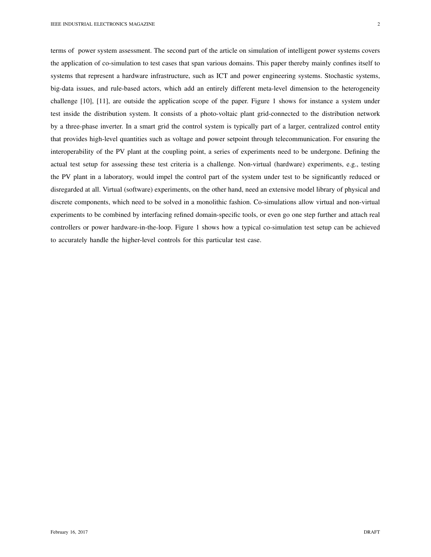terms of power system assessment. The second part of the article on simulation of intelligent power systems covers the application of co-simulation to test cases that span various domains. This paper thereby mainly confines itself to systems that represent a hardware infrastructure, such as ICT and power engineering systems. Stochastic systems, big-data issues, and rule-based actors, which add an entirely different meta-level dimension to the heterogeneity challenge [10], [11], are outside the application scope of the paper. Figure 1 shows for instance a system under test inside the distribution system. It consists of a photo-voltaic plant grid-connected to the distribution network by a three-phase inverter. In a smart grid the control system is typically part of a larger, centralized control entity that provides high-level quantities such as voltage and power setpoint through telecommunication. For ensuring the interoperability of the PV plant at the coupling point, a series of experiments need to be undergone. Defining the actual test setup for assessing these test criteria is a challenge. Non-virtual (hardware) experiments, e.g., testing the PV plant in a laboratory, would impel the control part of the system under test to be significantly reduced or disregarded at all. Virtual (software) experiments, on the other hand, need an extensive model library of physical and discrete components, which need to be solved in a monolithic fashion. Co-simulations allow virtual and non-virtual experiments to be combined by interfacing refined domain-specific tools, or even go one step further and attach real controllers or power hardware-in-the-loop. Figure 1 shows how a typical co-simulation test setup can be achieved to accurately handle the higher-level controls for this particular test case.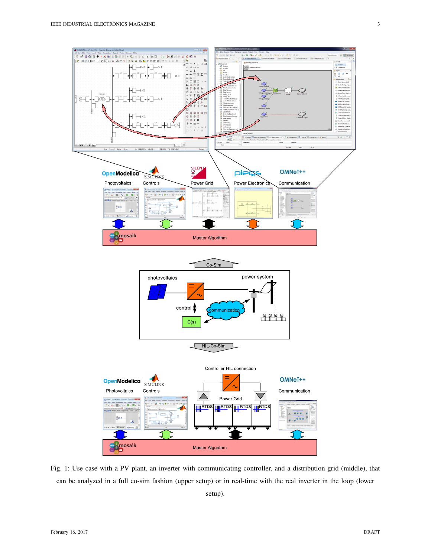

Fig. 1: Use case with a PV plant, an inverter with communicating controller, and a distribution grid (middle), that can be analyzed in a full co-sim fashion (upper setup) or in real-time with the real inverter in the loop (lower

setup).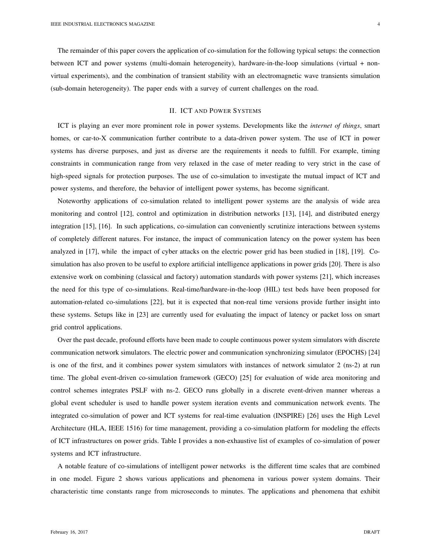The remainder of this paper covers the application of co-simulation for the following typical setups: the connection between ICT and power systems (multi-domain heterogeneity), hardware-in-the-loop simulations (virtual + nonvirtual experiments), and the combination of transient stability with an electromagnetic wave transients simulation (sub-domain heterogeneity). The paper ends with a survey of current challenges on the road.

## II. ICT AND POWER SYSTEMS

ICT is playing an ever more prominent role in power systems. Developments like the *internet of things*, smart homes, or car-to-X communication further contribute to a data-driven power system. The use of ICT in power systems has diverse purposes, and just as diverse are the requirements it needs to fulfill. For example, timing constraints in communication range from very relaxed in the case of meter reading to very strict in the case of high-speed signals for protection purposes. The use of co-simulation to investigate the mutual impact of ICT and power systems, and therefore, the behavior of intelligent power systems, has become significant.

Noteworthy applications of co-simulation related to intelligent power systems are the analysis of wide area monitoring and control [12], control and optimization in distribution networks [13], [14], and distributed energy integration [15], [16]. In such applications, co-simulation can conveniently scrutinize interactions between systems of completely different natures. For instance, the impact of communication latency on the power system has been analyzed in [17], while the impact of cyber attacks on the electric power grid has been studied in [18], [19]. Cosimulation has also proven to be useful to explore artificial intelligence applications in power grids [20]. There is also extensive work on combining (classical and factory) automation standards with power systems [21], which increases the need for this type of co-simulations. Real-time/hardware-in-the-loop (HIL) test beds have been proposed for automation-related co-simulations [22], but it is expected that non-real time versions provide further insight into these systems. Setups like in [23] are currently used for evaluating the impact of latency or packet loss on smart grid control applications.

Over the past decade, profound efforts have been made to couple continuous power system simulators with discrete communication network simulators. The electric power and communication synchronizing simulator (EPOCHS) [24] is one of the first, and it combines power system simulators with instances of network simulator 2 (ns-2) at run time. The global event-driven co-simulation framework (GECO) [25] for evaluation of wide area monitoring and control schemes integrates PSLF with ns-2. GECO runs globally in a discrete event-driven manner whereas a global event scheduler is used to handle power system iteration events and communication network events. The integrated co-simulation of power and ICT systems for real-time evaluation (INSPIRE) [26] uses the High Level Architecture (HLA, IEEE 1516) for time management, providing a co-simulation platform for modeling the effects of ICT infrastructures on power grids. Table I provides a non-exhaustive list of examples of co-simulation of power systems and ICT infrastructure.

A notable feature of co-simulations of intelligent power networks is the different time scales that are combined in one model. Figure 2 shows various applications and phenomena in various power system domains. Their characteristic time constants range from microseconds to minutes. The applications and phenomena that exhibit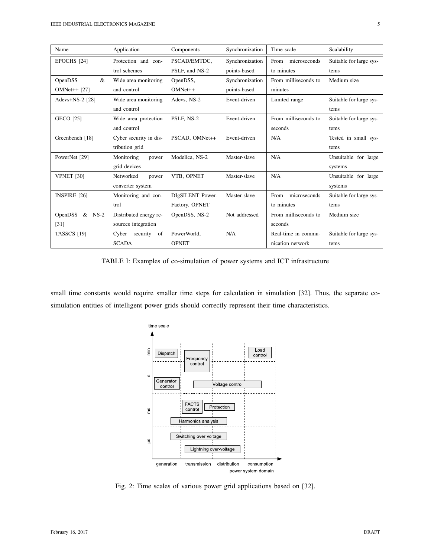| Name                       | Application             | Components       | Synchronization | Time scale           | Scalability             |
|----------------------------|-------------------------|------------------|-----------------|----------------------|-------------------------|
| EPOCHS <sup>[24]</sup>     | Protection and con-     | PSCAD/EMTDC.     | Synchronization | microseconds<br>From | Suitable for large sys- |
|                            | trol schemes            | PSLF, and NS-2   | points-based    | to minutes           | tems                    |
| $\&$<br>OpenDSS            | Wide area monitoring    | OpenDSS,         | Synchronization | From milliseconds to | Medium size             |
| $OMNet++ [27]$             | and control             | $OMNet++$        | points-based    | minutes              |                         |
| Adevs+NS-2 [28]            | Wide area monitoring    | Adevs, NS-2      | Event-driven    | Limited range        | Suitable for large sys- |
|                            | and control             |                  |                 |                      | tems                    |
| <b>GECO</b> [25]           | Wide area protection    | PSLF, NS-2       | Event-driven    | From milliseconds to | Suitable for large sys- |
|                            | and control             |                  |                 | seconds              | tems                    |
| Greenbench [18]            | Cyber security in dis-  | PSCAD. OMNet++   | Event-driven    | N/A                  | Tested in small sys-    |
|                            | tribution grid          |                  |                 |                      | tems                    |
| PowerNet [29]              | Monitoring<br>power     | Modelica, NS-2   | Master-slave    | N/A                  | Unsuitable for large    |
|                            | grid devices            |                  |                 |                      | systems                 |
| <b>VPNET [30]</b>          | Networked<br>power      | VTB. OPNET       | Master-slave    | N/A                  | Unsuitable for large    |
|                            | converter system        |                  |                 |                      | systems                 |
| <b>INSPIRE [26]</b>        | Monitoring and con-     | DIgSILENT Power- | Master-slave    | microseconds<br>From | Suitable for large sys- |
|                            | trol                    | Factory, OPNET   |                 | to minutes           | tems                    |
| <b>OpenDSS</b><br>$&$ NS-2 | Distributed energy re-  | OpenDSS, NS-2    | Not addressed   | From milliseconds to | Medium size             |
| [31]                       | sources integration     |                  |                 | seconds              |                         |
| <b>TASSCS</b> [19]         | Cyber<br>security<br>of | PowerWorld,      | N/A             | Real-time in commu-  | Suitable for large sys- |
|                            | <b>SCADA</b>            | <b>OPNET</b>     |                 | nication network     | tems                    |

TABLE I: Examples of co-simulation of power systems and ICT infrastructure

small time constants would require smaller time steps for calculation in simulation [32]. Thus, the separate cosimulation entities of intelligent power grids should correctly represent their time characteristics.



Fig. 2: Time scales of various power grid applications based on [32].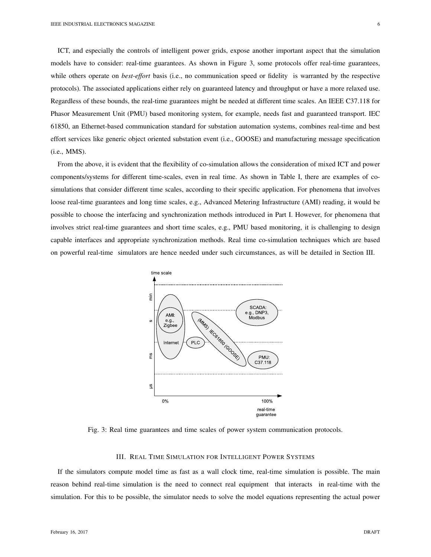ICT, and especially the controls of intelligent power grids, expose another important aspect that the simulation models have to consider: real-time guarantees. As shown in Figure 3, some protocols offer real-time guarantees, while others operate on *best-effort* basis (i.e., no communication speed or fidelity is warranted by the respective protocols). The associated applications either rely on guaranteed latency and throughput or have a more relaxed use. Regardless of these bounds, the real-time guarantees might be needed at different time scales. An IEEE C37.118 for Phasor Measurement Unit (PMU) based monitoring system, for example, needs fast and guaranteed transport. IEC 61850, an Ethernet-based communication standard for substation automation systems, combines real-time and best effort services like generic object oriented substation event (i.e., GOOSE) and manufacturing message specification (i.e., MMS).

From the above, it is evident that the flexibility of co-simulation allows the consideration of mixed ICT and power components/systems for different time-scales, even in real time. As shown in Table I, there are examples of cosimulations that consider different time scales, according to their specific application. For phenomena that involves loose real-time guarantees and long time scales, e.g., Advanced Metering Infrastructure (AMI) reading, it would be possible to choose the interfacing and synchronization methods introduced in Part I. However, for phenomena that involves strict real-time guarantees and short time scales, e.g., PMU based monitoring, it is challenging to design capable interfaces and appropriate synchronization methods. Real time co-simulation techniques which are based on powerful real-time simulators are hence needed under such circumstances, as will be detailed in Section III.



Fig. 3: Real time guarantees and time scales of power system communication protocols.

## III. REAL TIME SIMULATION FOR INTELLIGENT POWER SYSTEMS

If the simulators compute model time as fast as a wall clock time, real-time simulation is possible. The main reason behind real-time simulation is the need to connect real equipment that interacts in real-time with the simulation. For this to be possible, the simulator needs to solve the model equations representing the actual power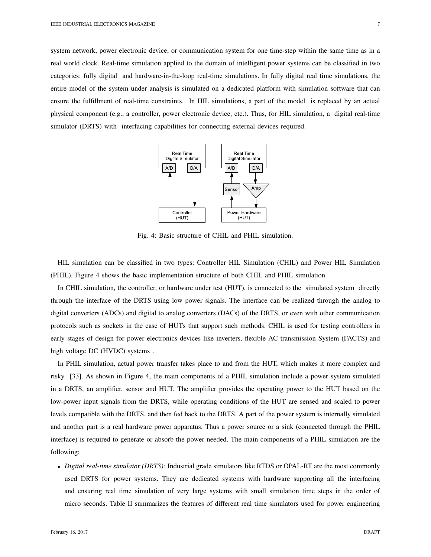system network, power electronic device, or communication system for one time-step within the same time as in a real world clock. Real-time simulation applied to the domain of intelligent power systems can be classified in two categories: fully digital and hardware-in-the-loop real-time simulations. In fully digital real time simulations, the entire model of the system under analysis is simulated on a dedicated platform with simulation software that can ensure the fulfillment of real-time constraints. In HIL simulations, a part of the model is replaced by an actual physical component (e.g., a controller, power electronic device, etc.). Thus, for HIL simulation, a digital real-time simulator (DRTS) with interfacing capabilities for connecting external devices required.



Fig. 4: Basic structure of CHIL and PHIL simulation.

HIL simulation can be classified in two types: Controller HIL Simulation (CHIL) and Power HIL Simulation (PHIL). Figure 4 shows the basic implementation structure of both CHIL and PHIL simulation.

In CHIL simulation, the controller, or hardware under test (HUT), is connected to the simulated system directly through the interface of the DRTS using low power signals. The interface can be realized through the analog to digital converters (ADCs) and digital to analog converters (DACs) of the DRTS, or even with other communication protocols such as sockets in the case of HUTs that support such methods. CHIL is used for testing controllers in early stages of design for power electronics devices like inverters, flexible AC transmission System (FACTS) and high voltage DC (HVDC) systems .

In PHIL simulation, actual power transfer takes place to and from the HUT, which makes it more complex and risky [33]. As shown in Figure 4, the main components of a PHIL simulation include a power system simulated in a DRTS, an amplifier, sensor and HUT. The amplifier provides the operating power to the HUT based on the low-power input signals from the DRTS, while operating conditions of the HUT are sensed and scaled to power levels compatible with the DRTS, and then fed back to the DRTS. A part of the power system is internally simulated and another part is a real hardware power apparatus. Thus a power source or a sink (connected through the PHIL interface) is required to generate or absorb the power needed. The main components of a PHIL simulation are the following:

• *Digital real-time simulator (DRTS):* Industrial grade simulators like RTDS or OPAL-RT are the most commonly used DRTS for power systems. They are dedicated systems with hardware supporting all the interfacing and ensuring real time simulation of very large systems with small simulation time steps in the order of micro seconds. Table II summarizes the features of different real time simulators used for power engineering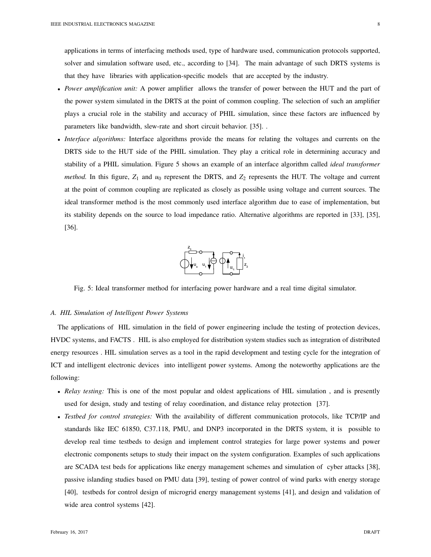applications in terms of interfacing methods used, type of hardware used, communication protocols supported, solver and simulation software used, etc., according to [34]. The main advantage of such DRTS systems is that they have libraries with application-specific models that are accepted by the industry.

- *Power amplification unit:* A power amplifier allows the transfer of power between the HUT and the part of the power system simulated in the DRTS at the point of common coupling. The selection of such an amplifier plays a crucial role in the stability and accuracy of PHIL simulation, since these factors are influenced by parameters like bandwidth, slew-rate and short circuit behavior. [35]. .
- *Interface algorithms:* Interface algorithms provide the means for relating the voltages and currents on the DRTS side to the HUT side of the PHIL simulation. They play a critical role in determining accuracy and stability of a PHIL simulation. Figure 5 shows an example of an interface algorithm called *ideal transformer method.* In this figure,  $Z_1$  and  $u_0$  represent the DRTS, and  $Z_2$  represents the HUT. The voltage and current at the point of common coupling are replicated as closely as possible using voltage and current sources. The ideal transformer method is the most commonly used interface algorithm due to ease of implementation, but its stability depends on the source to load impedance ratio. Alternative algorithms are reported in [33], [35], [36].



Fig. 5: Ideal transformer method for interfacing power hardware and a real time digital simulator.

#### *A. HIL Simulation of Intelligent Power Systems*

The applications of HIL simulation in the field of power engineering include the testing of protection devices, HVDC systems, and FACTS . HIL is also employed for distribution system studies such as integration of distributed energy resources . HIL simulation serves as a tool in the rapid development and testing cycle for the integration of ICT and intelligent electronic devices into intelligent power systems. Among the noteworthy applications are the following:

- *Relay testing:* This is one of the most popular and oldest applications of HIL simulation , and is presently used for design, study and testing of relay coordination, and distance relay protection [37].
- *Testbed for control strategies:* With the availability of different communication protocols, like TCP/IP and standards like IEC 61850, C37.118, PMU, and DNP3 incorporated in the DRTS system, it is possible to develop real time testbeds to design and implement control strategies for large power systems and power electronic components setups to study their impact on the system configuration. Examples of such applications are SCADA test beds for applications like energy management schemes and simulation of cyber attacks [38], passive islanding studies based on PMU data [39], testing of power control of wind parks with energy storage [40], testbeds for control design of microgrid energy management systems [41], and design and validation of wide area control systems [42].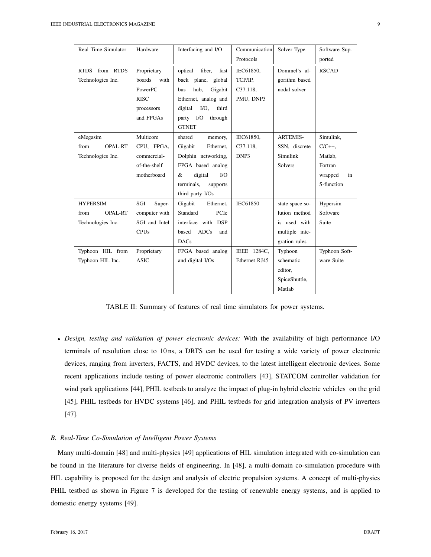| Real Time Simulator    | Hardware       | Interfacing and I/O         | Communication   | Solver Type     | Software Sup- |
|------------------------|----------------|-----------------------------|-----------------|-----------------|---------------|
|                        |                |                             | Protocols       |                 | ported        |
| RTDS from RTDS         | Proprietary    | fiber,<br>optical<br>fast   | IEC61850,       | Dommel's al-    | <b>RSCAD</b>  |
| Technologies Inc.      | boards<br>with | back plane, global          | TCP/IP,         | gorithm based   |               |
|                        | PowerPC        | Gigabit<br>hub,<br>bus      | $C37.118$ ,     | nodal solver    |               |
|                        | <b>RISC</b>    | Ethernet, analog and        | PMU, DNP3       |                 |               |
|                        | processors     | $I/O$ ,<br>third<br>digital |                 |                 |               |
|                        | and FPGAs      | party I/O<br>through        |                 |                 |               |
|                        |                | <b>GTNET</b>                |                 |                 |               |
| eMegasim               | Multicore      | shared<br>memory,           | IEC61850,       | <b>ARTEMIS-</b> | Simulink,     |
| from<br>OPAL-RT        | CPU, FPGA,     | Ethernet,<br>Gigabit        | C37.118,        | SSN, discrete   | $C/C++$       |
| Technologies Inc.      | commercial-    | Dolphin networking,         | DNP3            | Simulink        | Matlab,       |
|                        | of-the-shelf   | FPGA based analog           |                 | Solvers         | Fortran       |
|                        | motherboard    | I/O<br>digital<br>&         |                 |                 | wrapped<br>in |
|                        |                | terminals,<br>supports      |                 |                 | S-function    |
|                        |                | third party I/Os            |                 |                 |               |
| <b>HYPERSIM</b>        | SGI<br>Super-  | Gigabit<br>Ethernet,        | <b>IEC61850</b> | state space so- | Hypersim      |
| from<br><b>OPAL-RT</b> | computer with  | Standard<br>PCIe            |                 | lution method   | Software      |
| Technologies Inc.      | SGI and Intel  | interface with DSP          |                 | is used with    | Suite         |
|                        | <b>CPUs</b>    | based<br><b>ADCs</b><br>and |                 | multiple inte-  |               |
|                        |                | <b>DACs</b>                 |                 | gration rules   |               |
| Typhoon HIL from       | Proprietary    | FPGA based analog           | IEEE 1284C,     | Typhoon         | Typhoon Soft- |
| Typhoon HIL Inc.       | <b>ASIC</b>    | and digital I/Os            | Ethernet RJ45   | schematic       | ware Suite    |
|                        |                |                             |                 | editor,         |               |
|                        |                |                             |                 | SpiceShuttle,   |               |
|                        |                |                             |                 | Matlab          |               |

TABLE II: Summary of features of real time simulators for power systems.

• *Design, testing and validation of power electronic devices:* With the availability of high performance I/O terminals of resolution close to 10 ns, a DRTS can be used for testing a wide variety of power electronic devices, ranging from inverters, FACTS, and HVDC devices, to the latest intelligent electronic devices. Some recent applications include testing of power electronic controllers [43], STATCOM controller validation for wind park applications [44], PHIL testbeds to analyze the impact of plug-in hybrid electric vehicles on the grid [45], PHIL testbeds for HVDC systems [46], and PHIL testbeds for grid integration analysis of PV inverters [47].

#### *B. Real-Time Co-Simulation of Intelligent Power Systems*

Many multi-domain [48] and multi-physics [49] applications of HIL simulation integrated with co-simulation can be found in the literature for diverse fields of engineering. In [48], a multi-domain co-simulation procedure with HIL capability is proposed for the design and analysis of electric propulsion systems. A concept of multi-physics PHIL testbed as shown in Figure 7 is developed for the testing of renewable energy systems, and is applied to domestic energy systems [49].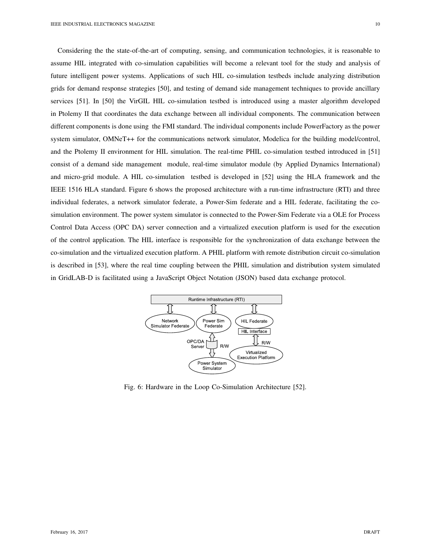Considering the the state-of-the-art of computing, sensing, and communication technologies, it is reasonable to assume HIL integrated with co-simulation capabilities will become a relevant tool for the study and analysis of future intelligent power systems. Applications of such HIL co-simulation testbeds include analyzing distribution grids for demand response strategies [50], and testing of demand side management techniques to provide ancillary services [51]. In [50] the VirGIL HIL co-simulation testbed is introduced using a master algorithm developed in Ptolemy II that coordinates the data exchange between all individual components. The communication between different components is done using the FMI standard. The individual components include PowerFactory as the power system simulator, OMNeT++ for the communications network simulator, Modelica for the building model/control, and the Ptolemy II environment for HIL simulation. The real-time PHIL co-simulation testbed introduced in [51] consist of a demand side management module, real-time simulator module (by Applied Dynamics International) and micro-grid module. A HIL co-simulation testbed is developed in [52] using the HLA framework and the IEEE 1516 HLA standard. Figure 6 shows the proposed architecture with a run-time infrastructure (RTI) and three individual federates, a network simulator federate, a Power-Sim federate and a HIL federate, facilitating the cosimulation environment. The power system simulator is connected to the Power-Sim Federate via a OLE for Process Control Data Access (OPC DA) server connection and a virtualized execution platform is used for the execution of the control application. The HIL interface is responsible for the synchronization of data exchange between the co-simulation and the virtualized execution platform. A PHIL platform with remote distribution circuit co-simulation is described in [53], where the real time coupling between the PHIL simulation and distribution system simulated in GridLAB-D is facilitated using a JavaScript Object Notation (JSON) based data exchange protocol.



Fig. 6: Hardware in the Loop Co-Simulation Architecture [52].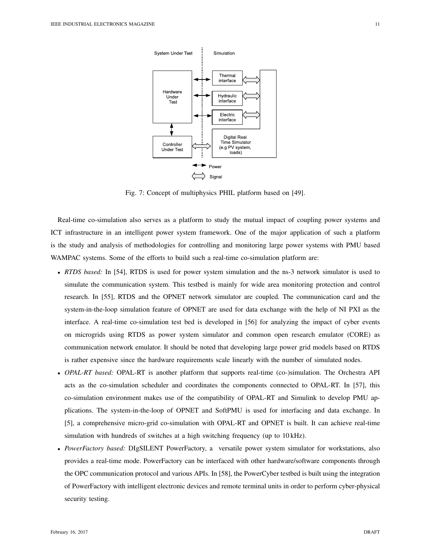

Fig. 7: Concept of multiphysics PHIL platform based on [49].

Real-time co-simulation also serves as a platform to study the mutual impact of coupling power systems and ICT infrastructure in an intelligent power system framework. One of the major application of such a platform is the study and analysis of methodologies for controlling and monitoring large power systems with PMU based WAMPAC systems. Some of the efforts to build such a real-time co-simulation platform are:

- *RTDS based:* In [54], RTDS is used for power system simulation and the ns-3 network simulator is used to simulate the communication system. This testbed is mainly for wide area monitoring protection and control research. In [55], RTDS and the OPNET network simulator are coupled. The communication card and the system-in-the-loop simulation feature of OPNET are used for data exchange with the help of NI PXI as the interface. A real-time co-simulation test bed is developed in [56] for analyzing the impact of cyber events on microgrids using RTDS as power system simulator and common open research emulator (CORE) as communication network emulator. It should be noted that developing large power grid models based on RTDS is rather expensive since the hardware requirements scale linearly with the number of simulated nodes.
- *OPAL-RT based:* OPAL-RT is another platform that supports real-time (co-)simulation. The Orchestra API acts as the co-simulation scheduler and coordinates the components connected to OPAL-RT. In [57], this co-simulation environment makes use of the compatibility of OPAL-RT and Simulink to develop PMU applications. The system-in-the-loop of OPNET and SoftPMU is used for interfacing and data exchange. In [5], a comprehensive micro-grid co-simulation with OPAL-RT and OPNET is built. It can achieve real-time simulation with hundreds of switches at a high switching frequency (up to 10 kHz).
- *PowerFactory based:* DIgSILENT PowerFactory, a versatile power system simulator for workstations, also provides a real-time mode. PowerFactory can be interfaced with other hardware/software components through the OPC communication protocol and various APIs. In [58], the PowerCyber testbed is built using the integration of PowerFactory with intelligent electronic devices and remote terminal units in order to perform cyber-physical security testing.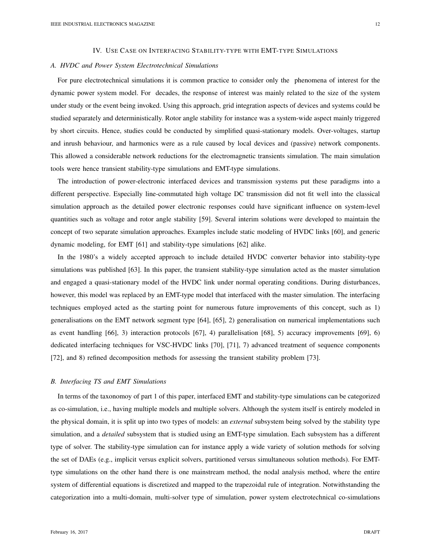#### *A. HVDC and Power System Electrotechnical Simulations*

For pure electrotechnical simulations it is common practice to consider only the phenomena of interest for the dynamic power system model. For decades, the response of interest was mainly related to the size of the system under study or the event being invoked. Using this approach, grid integration aspects of devices and systems could be studied separately and deterministically. Rotor angle stability for instance was a system-wide aspect mainly triggered by short circuits. Hence, studies could be conducted by simplified quasi-stationary models. Over-voltages, startup and inrush behaviour, and harmonics were as a rule caused by local devices and (passive) network components. This allowed a considerable network reductions for the electromagnetic transients simulation. The main simulation tools were hence transient stability-type simulations and EMT-type simulations.

The introduction of power-electronic interfaced devices and transmission systems put these paradigms into a different perspective. Especially line-commutated high voltage DC transmission did not fit well into the classical simulation approach as the detailed power electronic responses could have significant influence on system-level quantities such as voltage and rotor angle stability [59]. Several interim solutions were developed to maintain the concept of two separate simulation approaches. Examples include static modeling of HVDC links [60], and generic dynamic modeling, for EMT [61] and stability-type simulations [62] alike.

In the 1980's a widely accepted approach to include detailed HVDC converter behavior into stability-type simulations was published [63]. In this paper, the transient stability-type simulation acted as the master simulation and engaged a quasi-stationary model of the HVDC link under normal operating conditions. During disturbances, however, this model was replaced by an EMT-type model that interfaced with the master simulation. The interfacing techniques employed acted as the starting point for numerous future improvements of this concept, such as 1) generalisations on the EMT network segment type [64], [65], 2) generalisation on numerical implementations such as event handling [66], 3) interaction protocols [67], 4) parallelisation [68], 5) accuracy improvements [69], 6) dedicated interfacing techniques for VSC-HVDC links [70], [71], 7) advanced treatment of sequence components [72], and 8) refined decomposition methods for assessing the transient stability problem [73].

#### *B. Interfacing TS and EMT Simulations*

In terms of the taxonomoy of part 1 of this paper, interfaced EMT and stability-type simulations can be categorized as co-simulation, i.e., having multiple models and multiple solvers. Although the system itself is entirely modeled in the physical domain, it is split up into two types of models: an *external* subsystem being solved by the stability type simulation, and a *detailed* subsystem that is studied using an EMT-type simulation. Each subsystem has a different type of solver. The stability-type simulation can for instance apply a wide variety of solution methods for solving the set of DAEs (e.g., implicit versus explicit solvers, partitioned versus simultaneous solution methods). For EMTtype simulations on the other hand there is one mainstream method, the nodal analysis method, where the entire system of differential equations is discretized and mapped to the trapezoidal rule of integration. Notwithstanding the categorization into a multi-domain, multi-solver type of simulation, power system electrotechnical co-simulations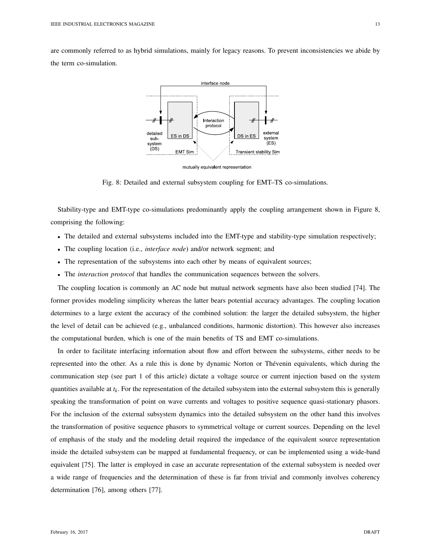are commonly referred to as hybrid simulations, mainly for legacy reasons. To prevent inconsistencies we abide by the term co-simulation.



mutually equivalent representation

Fig. 8: Detailed and external subsystem coupling for EMT–TS co-simulations.

Stability-type and EMT-type co-simulations predominantly apply the coupling arrangement shown in Figure 8, comprising the following:

- The detailed and external subsystems included into the EMT-type and stability-type simulation respectively;
- The coupling location (i.e., *interface node*) and/or network segment; and
- The representation of the subsystems into each other by means of equivalent sources;
- The *interaction protocol* that handles the communication sequences between the solvers.

The coupling location is commonly an AC node but mutual network segments have also been studied [74]. The former provides modeling simplicity whereas the latter bears potential accuracy advantages. The coupling location determines to a large extent the accuracy of the combined solution: the larger the detailed subsystem, the higher the level of detail can be achieved (e.g., unbalanced conditions, harmonic distortion). This however also increases the computational burden, which is one of the main benefits of TS and EMT co-simulations.

In order to facilitate interfacing information about flow and effort between the subsystems, either needs to be represented into the other. As a rule this is done by dynamic Norton or Thevenin equivalents, which during the ´ communication step (see part 1 of this article) dictate a voltage source or current injection based on the system quantities available at *t<sup>k</sup>* . For the representation of the detailed subsystem into the external subsystem this is generally speaking the transformation of point on wave currents and voltages to positive sequence quasi-stationary phasors. For the inclusion of the external subsystem dynamics into the detailed subsystem on the other hand this involves the transformation of positive sequence phasors to symmetrical voltage or current sources. Depending on the level of emphasis of the study and the modeling detail required the impedance of the equivalent source representation inside the detailed subsystem can be mapped at fundamental frequency, or can be implemented using a wide-band equivalent [75]. The latter is employed in case an accurate representation of the external subsystem is needed over a wide range of frequencies and the determination of these is far from trivial and commonly involves coherency determination [76], among others [77].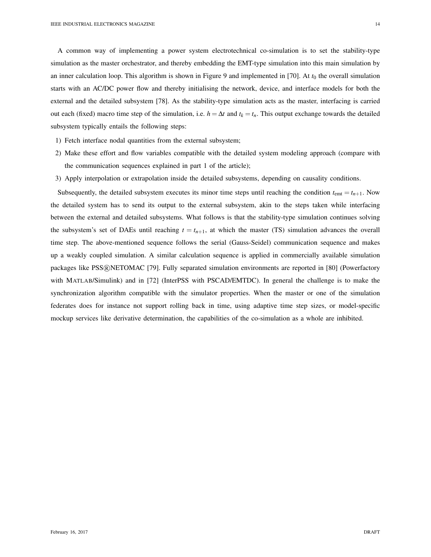A common way of implementing a power system electrotechnical co-simulation is to set the stability-type simulation as the master orchestrator, and thereby embedding the EMT-type simulation into this main simulation by an inner calculation loop. This algorithm is shown in Figure 9 and implemented in [70]. At  $t_0$  the overall simulation starts with an AC/DC power flow and thereby initialising the network, device, and interface models for both the external and the detailed subsystem [78]. As the stability-type simulation acts as the master, interfacing is carried out each (fixed) macro time step of the simulation, i.e.  $h = \Delta t$  and  $t_k = t_n$ . This output exchange towards the detailed subsystem typically entails the following steps:

- 1) Fetch interface nodal quantities from the external subsystem;
- 2) Make these effort and flow variables compatible with the detailed system modeling approach (compare with the communication sequences explained in part 1 of the article);
- 3) Apply interpolation or extrapolation inside the detailed subsystems, depending on causality conditions.

Subsequently, the detailed subsystem executes its minor time steps until reaching the condition  $t_{em} = t_{n+1}$ . Now the detailed system has to send its output to the external subsystem, akin to the steps taken while interfacing between the external and detailed subsystems. What follows is that the stability-type simulation continues solving the subsystem's set of DAEs until reaching  $t = t_{n+1}$ , at which the master (TS) simulation advances the overall time step. The above-mentioned sequence follows the serial (Gauss-Seidel) communication sequence and makes up a weakly coupled simulation. A similar calculation sequence is applied in commercially available simulation packages like PSS®NETOMAC [79]. Fully separated simulation environments are reported in [80] (Powerfactory with MATLAB/Simulink) and in [72] (InterPSS with PSCAD/EMTDC). In general the challenge is to make the synchronization algorithm compatible with the simulator properties. When the master or one of the simulation federates does for instance not support rolling back in time, using adaptive time step sizes, or model-specific mockup services like derivative determination, the capabilities of the co-simulation as a whole are inhibited.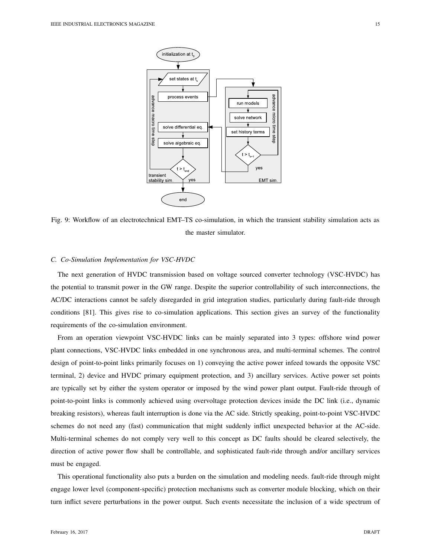

Fig. 9: Workflow of an electrotechnical EMT–TS co-simulation, in which the transient stability simulation acts as the master simulator.

#### *C. Co-Simulation Implementation for VSC-HVDC*

The next generation of HVDC transmission based on voltage sourced converter technology (VSC-HVDC) has the potential to transmit power in the GW range. Despite the superior controllability of such interconnections, the AC/DC interactions cannot be safely disregarded in grid integration studies, particularly during fault-ride through conditions [81]. This gives rise to co-simulation applications. This section gives an survey of the functionality requirements of the co-simulation environment.

From an operation viewpoint VSC-HVDC links can be mainly separated into 3 types: offshore wind power plant connections, VSC-HVDC links embedded in one synchronous area, and multi-terminal schemes. The control design of point-to-point links primarily focuses on 1) conveying the active power infeed towards the opposite VSC terminal, 2) device and HVDC primary equipment protection, and 3) ancillary services. Active power set points are typically set by either the system operator or imposed by the wind power plant output. Fault-ride through of point-to-point links is commonly achieved using overvoltage protection devices inside the DC link (i.e., dynamic breaking resistors), whereas fault interruption is done via the AC side. Strictly speaking, point-to-point VSC-HVDC schemes do not need any (fast) communication that might suddenly inflict unexpected behavior at the AC-side. Multi-terminal schemes do not comply very well to this concept as DC faults should be cleared selectively, the direction of active power flow shall be controllable, and sophisticated fault-ride through and/or ancillary services must be engaged.

This operational functionality also puts a burden on the simulation and modeling needs. fault-ride through might engage lower level (component-specific) protection mechanisms such as converter module blocking, which on their turn inflict severe perturbations in the power output. Such events necessitate the inclusion of a wide spectrum of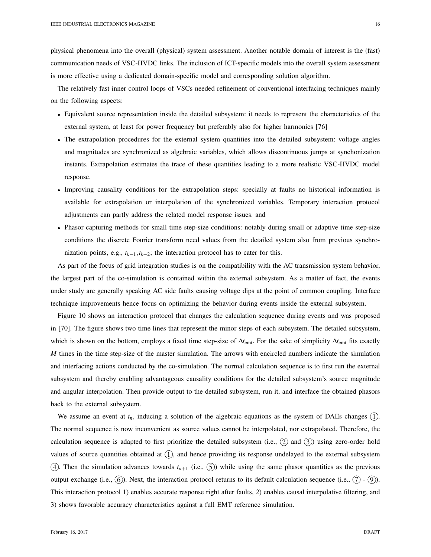physical phenomena into the overall (physical) system assessment. Another notable domain of interest is the (fast) communication needs of VSC-HVDC links. The inclusion of ICT-specific models into the overall system assessment is more effective using a dedicated domain-specific model and corresponding solution algorithm.

The relatively fast inner control loops of VSCs needed refinement of conventional interfacing techniques mainly on the following aspects:

- Equivalent source representation inside the detailed subsystem: it needs to represent the characteristics of the external system, at least for power frequency but preferably also for higher harmonics [76]
- The extrapolation procedures for the external system quantities into the detailed subsystem: voltage angles and magnitudes are synchronized as algebraic variables, which allows discontinuous jumps at synchonization instants. Extrapolation estimates the trace of these quantities leading to a more realistic VSC-HVDC model response.
- Improving causality conditions for the extrapolation steps: specially at faults no historical information is available for extrapolation or interpolation of the synchronized variables. Temporary interaction protocol adjustments can partly address the related model response issues. and
- Phasor capturing methods for small time step-size conditions: notably during small or adaptive time step-size conditions the discrete Fourier transform need values from the detailed system also from previous synchronization points, e.g., *tk*−1,*tk*−2; the interaction protocol has to cater for this.

As part of the focus of grid integration studies is on the compatibility with the AC transmission system behavior, the largest part of the co-simulation is contained within the external subsystem. As a matter of fact, the events under study are generally speaking AC side faults causing voltage dips at the point of common coupling. Interface technique improvements hence focus on optimizing the behavior during events inside the external subsystem.

Figure 10 shows an interaction protocol that changes the calculation sequence during events and was proposed in [70]. The figure shows two time lines that represent the minor steps of each subsystem. The detailed subsystem, which is shown on the bottom, employs a fixed time step-size of ∆*t*emt. For the sake of simplicity ∆*t*emt fits exactly *M* times in the time step-size of the master simulation. The arrows with encircled numbers indicate the simulation and interfacing actions conducted by the co-simulation. The normal calculation sequence is to first run the external subsystem and thereby enabling advantageous causality conditions for the detailed subsystem's source magnitude and angular interpolation. Then provide output to the detailed subsystem, run it, and interface the obtained phasors back to the external subsystem.

We assume an event at  $t_n$ , inducing a solution of the algebraic equations as the system of DAEs changes  $(1)$ . The normal sequence is now inconvenient as source values cannot be interpolated, nor extrapolated. Therefore, the calculation sequence is adapted to first prioritize the detailed subsystem (i.e.,  $(2)$  and  $(3)$ ) using zero-order hold values of source quantities obtained at  $(1)$ , and hence providing its response undelayed to the external subsystem (4). Then the simulation advances towards  $t_{n+1}$  (i.e.,  $(5)$ ) while using the same phasor quantities as the previous output exchange (i.e.,  $(6)$ ). Next, the interaction protocol returns to its default calculation sequence (i.e.,  $(7)$  -  $(9)$ ). This interaction protocol 1) enables accurate response right after faults, 2) enables causal interpolative filtering, and 3) shows favorable accuracy characteristics against a full EMT reference simulation.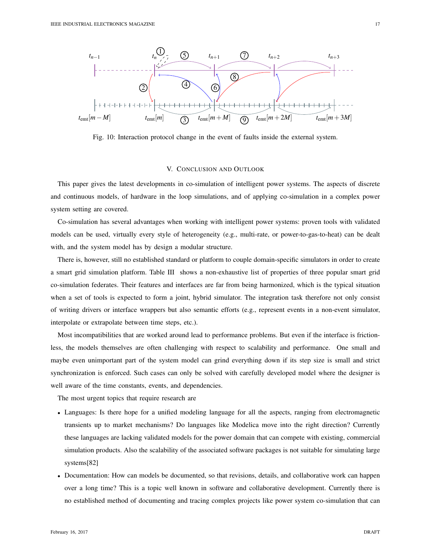

Fig. 10: Interaction protocol change in the event of faults inside the external system.

## V. CONCLUSION AND OUTLOOK

This paper gives the latest developments in co-simulation of intelligent power systems. The aspects of discrete and continuous models, of hardware in the loop simulations, and of applying co-simulation in a complex power system setting are covered.

Co-simulation has several advantages when working with intelligent power systems: proven tools with validated models can be used, virtually every style of heterogeneity (e.g., multi-rate, or power-to-gas-to-heat) can be dealt with, and the system model has by design a modular structure.

There is, however, still no established standard or platform to couple domain-specific simulators in order to create a smart grid simulation platform. Table III shows a non-exhaustive list of properties of three popular smart grid co-simulation federates. Their features and interfaces are far from being harmonized, which is the typical situation when a set of tools is expected to form a joint, hybrid simulator. The integration task therefore not only consist of writing drivers or interface wrappers but also semantic efforts (e.g., represent events in a non-event simulator, interpolate or extrapolate between time steps, etc.).

Most incompatibilities that are worked around lead to performance problems. But even if the interface is frictionless, the models themselves are often challenging with respect to scalability and performance. One small and maybe even unimportant part of the system model can grind everything down if its step size is small and strict synchronization is enforced. Such cases can only be solved with carefully developed model where the designer is well aware of the time constants, events, and dependencies.

The most urgent topics that require research are

- Languages: Is there hope for a unified modeling language for all the aspects, ranging from electromagnetic transients up to market mechanisms? Do languages like Modelica move into the right direction? Currently these languages are lacking validated models for the power domain that can compete with existing, commercial simulation products. Also the scalability of the associated software packages is not suitable for simulating large systems[82]
- Documentation: How can models be documented, so that revisions, details, and collaborative work can happen over a long time? This is a topic well known in software and collaborative development. Currently there is no established method of documenting and tracing complex projects like power system co-simulation that can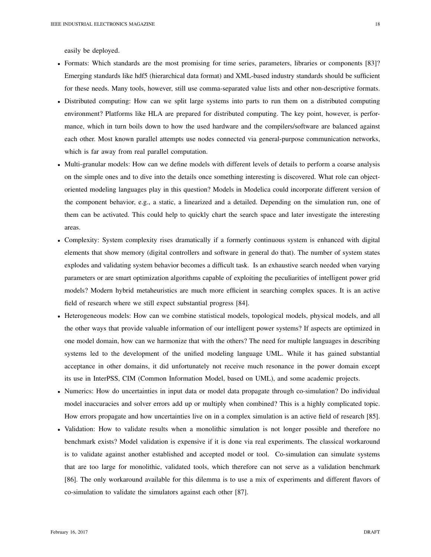- Formats: Which standards are the most promising for time series, parameters, libraries or components [83]? Emerging standards like hdf5 (hierarchical data format) and XML-based industry standards should be sufficient for these needs. Many tools, however, still use comma-separated value lists and other non-descriptive formats.
- Distributed computing: How can we split large systems into parts to run them on a distributed computing environment? Platforms like HLA are prepared for distributed computing. The key point, however, is performance, which in turn boils down to how the used hardware and the compilers/software are balanced against each other. Most known parallel attempts use nodes connected via general-purpose communication networks, which is far away from real parallel computation.
- Multi-granular models: How can we define models with different levels of details to perform a coarse analysis on the simple ones and to dive into the details once something interesting is discovered. What role can objectoriented modeling languages play in this question? Models in Modelica could incorporate different version of the component behavior, e.g., a static, a linearized and a detailed. Depending on the simulation run, one of them can be activated. This could help to quickly chart the search space and later investigate the interesting areas.
- Complexity: System complexity rises dramatically if a formerly continuous system is enhanced with digital elements that show memory (digital controllers and software in general do that). The number of system states explodes and validating system behavior becomes a difficult task. Is an exhaustive search needed when varying parameters or are smart optimization algorithms capable of exploiting the peculiarities of intelligent power grid models? Modern hybrid metaheuristics are much more efficient in searching complex spaces. It is an active field of research where we still expect substantial progress [84].
- Heterogeneous models: How can we combine statistical models, topological models, physical models, and all the other ways that provide valuable information of our intelligent power systems? If aspects are optimized in one model domain, how can we harmonize that with the others? The need for multiple languages in describing systems led to the development of the unified modeling language UML. While it has gained substantial acceptance in other domains, it did unfortunately not receive much resonance in the power domain except its use in InterPSS, CIM (Common Information Model, based on UML), and some academic projects.
- Numerics: How do uncertainties in input data or model data propagate through co-simulation? Do individual model inaccuracies and solver errors add up or multiply when combined? This is a highly complicated topic. How errors propagate and how uncertainties live on in a complex simulation is an active field of research [85].
- Validation: How to validate results when a monolithic simulation is not longer possible and therefore no benchmark exists? Model validation is expensive if it is done via real experiments. The classical workaround is to validate against another established and accepted model or tool. Co-simulation can simulate systems that are too large for monolithic, validated tools, which therefore can not serve as a validation benchmark [86]. The only workaround available for this dilemma is to use a mix of experiments and different flavors of co-simulation to validate the simulators against each other [87].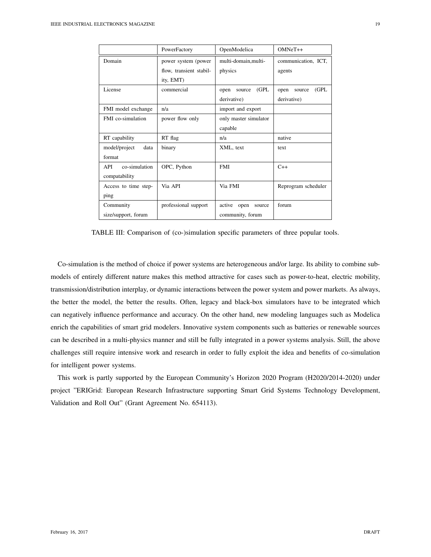|                             | PowerFactory            | OpenModelica             | $OMNeT++$               |  |
|-----------------------------|-------------------------|--------------------------|-------------------------|--|
| Domain                      | power system (power     | multi-domain, multi-     | communication, ICT,     |  |
|                             | flow, transient stabil- | physics                  | agents                  |  |
|                             | ity, EMT)               |                          |                         |  |
| License                     | commercial              | (GPL)<br>open<br>source  | (GPL)<br>open<br>source |  |
|                             |                         | derivative)              | derivative)             |  |
| FMI model exchange          | n/a                     | import and export        |                         |  |
| <b>FMI</b> co-simulation    | power flow only         | only master simulator    |                         |  |
|                             |                         | capable                  |                         |  |
| RT capability               | RT flag                 | n/a                      | native                  |  |
| model/project<br>data       | binary                  | XML, text                | text                    |  |
| format                      |                         |                          |                         |  |
| co-simulation<br><b>API</b> | OPC, Python             | <b>FMI</b>               | $C++$                   |  |
| compatability               |                         |                          |                         |  |
| Access to time step-        | Via API                 | Via FMI                  | Reprogram scheduler     |  |
| ping                        |                         |                          |                         |  |
| Community                   | professional support    | active<br>open<br>source | forum                   |  |
| size/support, forum         |                         | community, forum         |                         |  |

TABLE III: Comparison of (co-)simulation specific parameters of three popular tools.

Co-simulation is the method of choice if power systems are heterogeneous and/or large. Its ability to combine submodels of entirely different nature makes this method attractive for cases such as power-to-heat, electric mobility, transmission/distribution interplay, or dynamic interactions between the power system and power markets. As always, the better the model, the better the results. Often, legacy and black-box simulators have to be integrated which can negatively influence performance and accuracy. On the other hand, new modeling languages such as Modelica enrich the capabilities of smart grid modelers. Innovative system components such as batteries or renewable sources can be described in a multi-physics manner and still be fully integrated in a power systems analysis. Still, the above challenges still require intensive work and research in order to fully exploit the idea and benefits of co-simulation for intelligent power systems.

This work is partly supported by the European Community's Horizon 2020 Program (H2020/2014-2020) under project "ERIGrid: European Research Infrastructure supporting Smart Grid Systems Technology Development, Validation and Roll Out" (Grant Agreement No. 654113).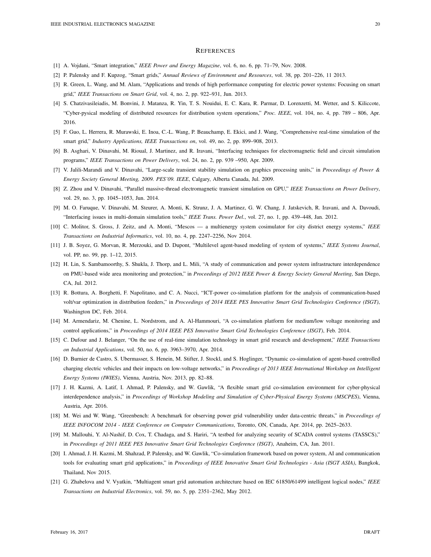#### **REFERENCES**

- [1] A. Vojdani, "Smart integration," *IEEE Power and Energy Magazine*, vol. 6, no. 6, pp. 71–79, Nov. 2008.
- [2] P. Palensky and F. Kupzog, "Smart grids," *Annual Reviews of Environment and Resources*, vol. 38, pp. 201–226, 11 2013.
- [3] R. Green, L. Wang, and M. Alam, "Applications and trends of high performance computing for electric power systems: Focusing on smart grid," *IEEE Transactions on Smart Grid*, vol. 4, no. 2, pp. 922–931, Jun. 2013.
- [4] S. Chatzivasileiadis, M. Bonvini, J. Matanza, R. Yin, T. S. Nouidui, E. C. Kara, R. Parmar, D. Lorenzetti, M. Wetter, and S. Kiliccote, "Cyber-pysical modeling of distributed resources for distribution system operations," *Proc. IEEE*, vol. 104, no. 4, pp. 789 – 806, Apr. 2016.
- [5] F. Guo, L. Herrera, R. Murawski, E. Inoa, C.-L. Wang, P. Beauchamp, E. Ekici, and J. Wang, "Comprehensive real-time simulation of the smart grid," *Industry Applications, IEEE Transactions on*, vol. 49, no. 2, pp. 899–908, 2013.
- [6] B. Asghari, V. Dinavahi, M. Rioual, J. Martinez, and R. Iravani, "Interfacing techniques for electromagnetic field and circuit simulation programs," *IEEE Transactions on Power Delivery*, vol. 24, no. 2, pp. 939 –950, Apr. 2009.
- [7] V. Jalili-Marandi and V. Dinavahi, "Large-scale transient stability simulation on graphics processing units," in *Proceedings of Power & Energy Society General Meeting, 2009. PES'09. IEEE*, Calgary, Alberta Canada, Jul. 2009.
- [8] Z. Zhou and V. Dinavahi, "Parallel massive-thread electromagnetic transient simulation on GPU," *IEEE Transactions on Power Delivery*, vol. 29, no. 3, pp. 1045–1053, Jun. 2014.
- [9] M. O. Faruque, V. Dinavahi, M. Steurer, A. Monti, K. Strunz, J. A. Martinez, G. W. Chang, J. Jatskevich, R. Iravani, and A. Davoudi, "Interfacing issues in multi-domain simulation tools," *IEEE Trans. Power Del.*, vol. 27, no. 1, pp. 439–448, Jan. 2012.
- [10] C. Molitor, S. Gross, J. Zeitz, and A. Monti, "Mescos a multienergy system cosimulator for city district energy systems," *IEEE Transactions on Industrial Informatics*, vol. 10, no. 4, pp. 2247–2256, Nov 2014.
- [11] J. B. Soyez, G. Morvan, R. Merzouki, and D. Dupont, "Multilevel agent-based modeling of system of systems," *IEEE Systems Journal*, vol. PP, no. 99, pp. 1–12, 2015.
- [12] H. Lin, S. Sambamoorthy, S. Shukla, J. Thorp, and L. Mili, "A study of communication and power system infrastructure interdependence on PMU-based wide area monitoring and protection," in *Proceedings of 2012 IEEE Power & Energy Society General Meeting*, San Diego, CA, Jul. 2012.
- [13] R. Bottura, A. Borghetti, F. Napolitano, and C. A. Nucci, "ICT-power co-simulation platform for the analysis of communication-based volt/var optimization in distribution feeders," in *Proceedings of 2014 IEEE PES Innovative Smart Grid Technologies Conference (ISGT)*, Washington DC, Feb. 2014.
- [14] M. Armendariz, M. Chenine, L. Nordstrom, and A. Al-Hammouri, "A co-simulation platform for medium/low voltage monitoring and control applications," in *Proceedings of 2014 IEEE PES Innovative Smart Grid Technologies Conference (ISGT)*, Feb. 2014.
- [15] C. Dufour and J. Belanger, "On the use of real-time simulation technology in smart grid research and development," *IEEE Transactions on Industrial Applications*, vol. 50, no. 6, pp. 3963–3970, Apr. 2014.
- [16] D. Burnier de Castro, S. Ubermasser, S. Henein, M. Stifter, J. Stockl, and S. Hoglinger, "Dynamic co-simulation of agent-based controlled charging electric vehicles and their impacts on low-voltage networks," in *Proceedings of 2013 IEEE International Workshop on Intelligent Energy Systems (IWIES)*, Vienna, Austria, Nov. 2013, pp. 82–88.
- [17] J. H. Kazmi, A. Latif, I. Ahmad, P. Palensky, and W. Gawlik, "A flexible smart grid co-simulation environment for cyber-physical interdependence analysis," in *Proceedings of Workshop Modeling and Simulation of Cyber-Physical Energy Systems (MSCPES)*, Vienna, Austria, Apr. 2016.
- [18] M. Wei and W. Wang, "Greenbench: A benchmark for observing power grid vulnerability under data-centric threats," in *Proceedings of IEEE INFOCOM 2014 - IEEE Conference on Computer Communications*, Toronto, ON, Canada, Apr. 2014, pp. 2625–2633.
- [19] M. Mallouhi, Y. Al-Nashif, D. Cox, T. Chadaga, and S. Hariri, "A testbed for analyzing security of SCADA control systems (TASSCS)," in *Proceedings of 2011 IEEE PES Innovative Smart Grid Technologies Conference (ISGT)*, Anaheim, CA, Jan. 2011.
- [20] I. Ahmad, J. H. Kazmi, M. Shahzad, P. Palensky, and W. Gawlik, "Co-simulation framework based on power system, AI and communication tools for evaluating smart grid applications," in *Proceedings of IEEE Innovative Smart Grid Technologies - Asia (ISGT ASIA)*, Bangkok, Thailand, Nov 2015.
- [21] G. Zhabelova and V. Vyatkin, "Multiagent smart grid automation architecture based on IEC 61850/61499 intelligent logical nodes," *IEEE Transactions on Industrial Electronics*, vol. 59, no. 5, pp. 2351–2362, May 2012.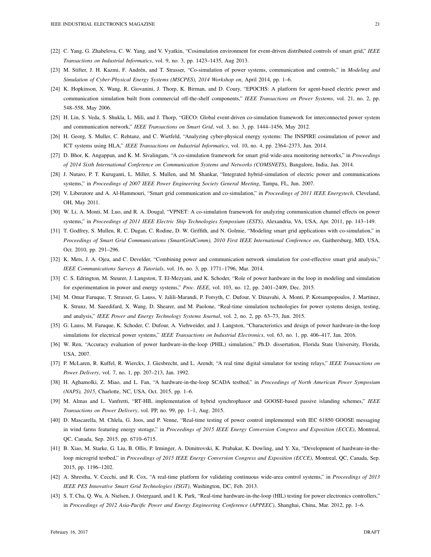- [22] C. Yang, G. Zhabelova, C. W. Yang, and V. Vyatkin, "Cosimulation environment for event-driven distributed controls of smart grid," *IEEE Transactions on Industrial Informatics*, vol. 9, no. 3, pp. 1423–1435, Aug 2013.
- [23] M. Stifter, J. H. Kazmi, F. Andrén, and T. Strasser, "Co-simulation of power systems, communication and controls," in *Modeling and Simulation of Cyber-Physical Energy Systems (MSCPES), 2014 Workshop on*, April 2014, pp. 1–6.
- [24] K. Hopkinson, X. Wang, R. Giovanini, J. Thorp, K. Birman, and D. Coury, "EPOCHS: A platform for agent-based electric power and communication simulation built from commercial off-the-shelf components," *IEEE Transactions on Power Systems*, vol. 21, no. 2, pp. 548–558, May 2006.
- [25] H. Lin, S. Veda, S. Shukla, L. Mili, and J. Thorp, "GECO: Global event-driven co-simulation framework for interconnected power system and communication network," *IEEE Transactions on Smart Grid*, vol. 3, no. 3, pp. 1444–1456, May 2012.
- [26] H. Georg, S. Muller, C. Rehtanz, and C. Wietfeld, "Analyzing cyber-physical energy systems: The INSPIRE cosimulation of power and ICT systems using HLA," *IEEE Transactions on Industrial Informatics*, vol. 10, no. 4, pp. 2364–2373, Jun. 2014.
- [27] D. Bhor, K. Angappan, and K. M. Sivalingam, "A co-simulation framework for smart grid wide-area monitoring networks," in *Proceedings of 2014 Sixth International Conference on Communication Systems and Networks (COMSNETS)*, Bangalore, India, Jan. 2014.
- [28] J. Nutaro, P. T. Kuruganti, L. Miller, S. Mullen, and M. Shankar, "Integrated hybrid-simulation of electric power and communications systems," in *Proceedings of 2007 IEEE Power Engineering Society General Meeting*, Tampa, FL, Jun. 2007.
- [29] V. Liberatore and A. Al-Hammouri, "Smart grid communication and co-simulation," in *Proceedings of 2011 IEEE Energytech*, Cleveland, OH, May 2011.
- [30] W. Li, A. Monti, M. Luo, and R. A. Dougal, "VPNET: A co-simulation framework for analyzing communication channel effects on power systems," in *Proceedings of 2011 IEEE Electric Ship Technologies Symposium (ESTS)*, Alexandria, VA, USA, Apr. 2011, pp. 143–149.
- [31] T. Godfrey, S. Mullen, R. C. Dugan, C. Rodine, D. W. Griffith, and N. Golmie, "Modeling smart grid applications with co-simulation," in *Proceedings of Smart Grid Communications (SmartGridComm), 2010 First IEEE International Conference on*, Gaithersburg, MD, USA, Oct. 2010, pp. 291–296.
- [32] K. Mets, J. A. Ojea, and C. Develder, "Combining power and communication network simulation for cost-effective smart grid analysis," *IEEE Communications Surveys & Tutorials*, vol. 16, no. 3, pp. 1771–1796, Mar. 2014.
- [33] C. S. Edrington, M. Steurer, J. Langston, T. El-Mezyani, and K. Schoder, "Role of power hardware in the loop in modeling and simulation for experimentation in power and energy systems," *Proc. IEEE*, vol. 103, no. 12, pp. 2401–2409, Dec. 2015.
- [34] M. Omar Faruque, T. Strasser, G. Lauss, V. Jalili-Marandi, P. Forsyth, C. Dufour, V. Dinavahi, A. Monti, P. Kotsampopoulos, J. Martinez, K. Strunz, M. Saeedifard, X. Wang, D. Shearer, and M. Paolone, "Real-time simulation technologies for power systems design, testing, and analysis," *IEEE Power and Energy Technology Systems Journal*, vol. 2, no. 2, pp. 63–73, Jun. 2015.
- [35] G. Lauss, M. Faruque, K. Schoder, C. Dufour, A. Viehweider, and J. Langston, "Characteristics and design of power hardware-in-the-loop simulations for electrical power systems," *IEEE Transactions on Industrial Electronics*, vol. 63, no. 1, pp. 406–417, Jan. 2016.
- [36] W. Ren, "Accuracy evaluation of power hardware-in-the-loop (PHIL) simulation," Ph.D. dissertation, Florida State University, Florida, USA, 2007.
- [37] P. McLaren, R. Kuffel, R. Wierckx, J. Giesbrecht, and L. Arendt, "A real time digital simulator for testing relays," *IEEE Transactions on Power Delivery*, vol. 7, no. 1, pp. 207–213, Jan. 1992.
- [38] H. Aghamolki, Z. Miao, and L. Fan, "A hardware-in-the-loop SCADA testbed," in *Proceedings of North American Power Symposium (NAPS), 2015*, Charlotte, NC, USA, Oct. 2015, pp. 1–6.
- [39] M. Almas and L. Vanfretti, "RT-HIL implementation of hybrid synchrophasor and GOOSE-based passive islanding schemes," *IEEE Transactions on Power Delivery*, vol. PP, no. 99, pp. 1–1, Aug. 2015.
- [40] D. Mascarella, M. Chlela, G. Joos, and P. Venne, "Real-time testing of power control implemented with IEC 61850 GOOSE messaging in wind farms featuring energy storage," in *Proceedings of 2015 IEEE Energy Conversion Congress and Exposition (ECCE)*, Montreal, QC, Canada, Sep. 2015, pp. 6710–6715.
- [41] B. Xiao, M. Starke, G. Liu, B. Ollis, P. Irminger, A. Dimitrovski, K. Prabakar, K. Dowling, and Y. Xu, "Development of hardware-in-theloop microgrid testbed," in *Proceedings of 2015 IEEE Energy Conversion Congress and Exposition (ECCE)*, Montreal, QC, Canada, Sep. 2015, pp. 1196–1202.
- [42] A. Shrestha, V. Cecchi, and R. Cox, "A real-time platform for validating continuous wide-area control systems," in *Proceedings of 2013 IEEE PES Innovative Smart Grid Technologies (ISGT)*, Washington, DC, Feb. 2013.
- [43] S. T. Cha, Q. Wu, A. Nielsen, J. Ostergaard, and I. K. Park, "Real-time hardware-in-the-loop (HIL) testing for power electronics controllers," in *Proceedings of 2012 Asia-Pacific Power and Energy Engineering Conference (APPEEC)*, Shanghai, China, Mar. 2012, pp. 1–6.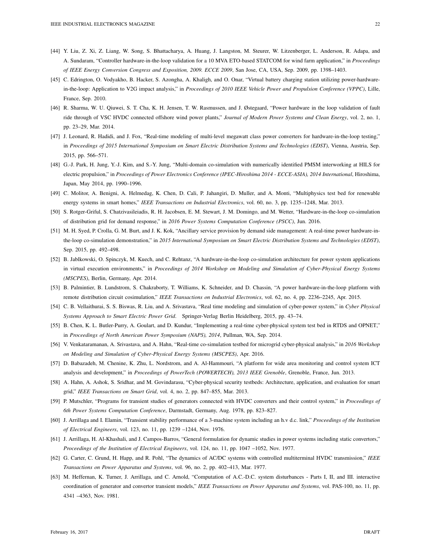- [44] Y. Liu, Z. Xi, Z. Liang, W. Song, S. Bhattacharya, A. Huang, J. Langston, M. Steurer, W. Litzenberger, L. Anderson, R. Adapa, and A. Sundaram, "Controller hardware-in-the-loop validation for a 10 MVA ETO-based STATCOM for wind farm application," in *Proceedings of IEEE Energy Conversion Congress and Exposition, 2009. ECCE 2009*, San Jose, CA, USA, Sep. 2009, pp. 1398–1403.
- [45] C. Edrington, O. Vodyakho, B. Hacker, S. Azongha, A. Khaligh, and O. Onar, "Virtual battery charging station utilizing power-hardwarein-the-loop: Application to V2G impact analysis," in *Proceedings of 2010 IEEE Vehicle Power and Propulsion Conference (VPPC)*, Lille, France, Sep. 2010.
- [46] R. Sharma, W. U. Qiuwei, S. T. Cha, K. H. Jensen, T. W. Rasmussen, and J. Østegaard, "Power hardware in the loop validation of fault ride through of VSC HVDC connected offshore wind power plants," *Journal of Modern Power Systems and Clean Energy*, vol. 2, no. 1, pp. 23–29, Mar. 2014.
- [47] J. Leonard, R. Hadidi, and J. Fox, "Real-time modeling of multi-level megawatt class power converters for hardware-in-the-loop testing," in *Proceedings of 2015 International Symposium on Smart Electric Distribution Systems and Technologies (EDST)*, Vienna, Austria, Sep. 2015, pp. 566–571.
- [48] G.-J. Park, H. Jung, Y.-J. Kim, and S.-Y. Jung, "Multi-domain co-simulation with numerically identified PMSM interworking at HILS for electric propulsion," in *Proceedings of Power Electronics Conference (IPEC-Hiroshima 2014 - ECCE-ASIA), 2014 International*, Hiroshima, Japan, May 2014, pp. 1990–1996.
- [49] C. Molitor, A. Benigni, A. Helmedag, K. Chen, D. Cali, P. Jahangiri, D. Muller, and A. Monti, "Multiphysics test bed for renewable energy systems in smart homes," *IEEE Transactions on Industrial Electronics*, vol. 60, no. 3, pp. 1235–1248, Mar. 2013.
- [50] S. Rotger-Griful, S. Chatzivasileiadis, R. H. Jacobsen, E. M. Stewart, J. M. Domingo, and M. Wetter, "Hardware-in-the-loop co-simulation of distribution grid for demand response," in *2016 Power Systems Computation Conference (PSCC)*, Jun. 2016.
- [51] M. H. Syed, P. Crolla, G. M. Burt, and J. K. Kok, "Ancillary service provision by demand side management: A real-time power hardware-inthe-loop co-simulation demonstration," in *2015 International Symposium on Smart Electric Distribution Systems and Technologies (EDST)*, Sep. 2015, pp. 492–498.
- [52] B. Jablkowski, O. Spinczyk, M. Kuech, and C. Rehtanz, "A hardware-in-the-loop co-simulation architecture for power system applications in virtual execution environments," in *Proceedings of 2014 Workshop on Modeling and Simulation of Cyber-Physical Energy Systems (MSCPES)*, Berlin, Germany, Apr. 2014.
- [53] B. Palmintier, B. Lundstrom, S. Chakraborty, T. Williams, K. Schneider, and D. Chassin, "A power hardware-in-the-loop platform with remote distribution circuit cosimulation," *IEEE Transactions on Industrial Electronics*, vol. 62, no. 4, pp. 2236–2245, Apr. 2015.
- [54] C. B. Vellaithurai, S. S. Biswas, R. Liu, and A. Srivastava, "Real time modeling and simulation of cyber-power system," in *Cyber Physical Systems Approach to Smart Electric Power Grid*. Springer-Verlag Berlin Heidelberg, 2015, pp. 43–74.
- [55] B. Chen, K. L. Butler-Purry, A. Goulart, and D. Kundur, "Implementing a real-time cyber-physical system test bed in RTDS and OPNET," in *Proceedings of North American Power Symposium (NAPS), 2014*, Pullman, WA, Sep. 2014.
- [56] V. Venkataramanan, A. Srivastava, and A. Hahn, "Real-time co-simulation testbed for microgrid cyber-physical analysis," in *2016 Workshop on Modeling and Simulation of Cyber-Physical Energy Systems (MSCPES)*, Apr. 2016.
- [57] D. Babazadeh, M. Chenine, K. Zhu, L. Nordstrom, and A. Al-Hammouri, "A platform for wide area monitoring and control system ICT analysis and development," in *Proceedings of PowerTech (POWERTECH), 2013 IEEE Grenoble*, Grenoble, France, Jun. 2013.
- [58] A. Hahn, A. Ashok, S. Sridhar, and M. Govindarasu, "Cyber-physical security testbeds: Architecture, application, and evaluation for smart grid," *IEEE Transactions on Smart Grid*, vol. 4, no. 2, pp. 847–855, Mar. 2013.
- [59] P. Mutschler, "Programs for transient studies of generators connected with HVDC converters and their control system," in *Proceedings of 6th Power Systems Computation Conference*, Darmstadt, Germany, Aug. 1978, pp. 823–827.
- [60] J. Arrillaga and I. Elamin, "Transient stability performance of a 3-machine system including an h.v d.c. link," *Proceedings of the Institution of Electrical Engineers*, vol. 123, no. 11, pp. 1239 –1244, Nov. 1976.
- [61] J. Arrillaga, H. Al-Khashali, and J. Campos-Barros, "General formulation for dynamic studies in power systems including static convertors," *Proceedings of the Institution of Electrical Engineers*, vol. 124, no. 11, pp. 1047 –1052, Nov. 1977.
- [62] G. Carter, C. Grund, H. Happ, and R. Pohl, "The dynamics of AC/DC systems with controlled multiterminal HVDC transmission," *IEEE Transactions on Power Apparatus and Systems*, vol. 96, no. 2, pp. 402–413, Mar. 1977.
- [63] M. Heffernan, K. Turner, J. Arrillaga, and C. Arnold, "Computation of A.C.-D.C. system disturbances Parts I, II, and III. interactive coordination of generator and convertor transient models," *IEEE Transactions on Power Apparatus and Systems*, vol. PAS-100, no. 11, pp. 4341 –4363, Nov. 1981.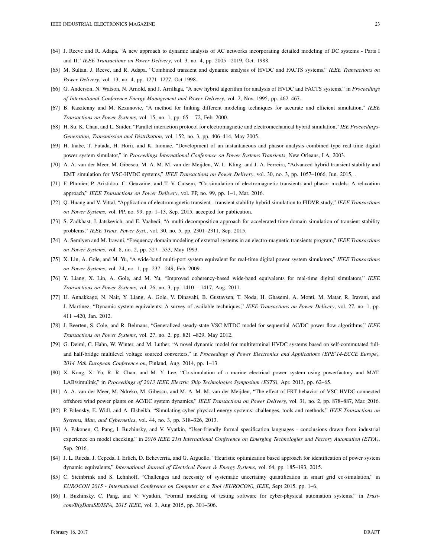- [64] J. Reeve and R. Adapa, "A new approach to dynamic analysis of AC networks incorporating detailed modeling of DC systems Parts I and II," *IEEE Transactions on Power Delivery*, vol. 3, no. 4, pp. 2005 –2019, Oct. 1988.
- [65] M. Sultan, J. Reeve, and R. Adapa, "Combined transient and dynamic analysis of HVDC and FACTS systems," *IEEE Transactions on Power Delivery*, vol. 13, no. 4, pp. 1271–1277, Oct 1998.
- [66] G. Anderson, N. Watson, N. Arnold, and J. Arrillaga, "A new hybrid algorithm for analysis of HVDC and FACTS systems," in *Proceedings of International Conference Energy Management and Power Delivery*, vol. 2, Nov. 1995, pp. 462–467.
- [67] B. Kasztenny and M. Kezunovic, "A method for linking different modeling techniques for accurate and efficient simulation," *IEEE Transactions on Power Systems*, vol. 15, no. 1, pp. 65 – 72, Feb. 2000.
- [68] H. Su, K. Chan, and L. Snider, "Parallel interaction protocol for electromagnetic and electromechanical hybrid simulation," *IEE Proceedings-Generation, Transmission and Distribution*, vol. 152, no. 3, pp. 406–414, May 2005.
- [69] H. Inabe, T. Futada, H. Horii, and K. Inomae, "Development of an instantaneous and phasor analysis combined type real-time digital power system simulator," in *Proceedings International Conference on Power Systems Transients*, New Orleans, LA, 2003.
- [70] A. A. van der Meer, M. Gibescu, M. A. M. M. van der Meijden, W. L. Kling, and J. A. Ferreira, "Advanced hybrid transient stability and EMT simulation for VSC-HVDC systems," *IEEE Transactions on Power Delivery*, vol. 30, no. 3, pp. 1057–1066, Jun. 2015, .
- [71] F. Plumier, P. Aristidou, C. Geuzaine, and T. V. Cutsem, "Co-simulation of electromagnetic transients and phasor models: A relaxation approach," *IEEE Transactions on Power Delivery*, vol. PP, no. 99, pp. 1–1, Mar. 2016.
- [72] Q. Huang and V. Vittal, "Application of electromagnetic transient transient stability hybrid simulation to FIDVR study," *IEEE Transactions on Power Systems*, vol. PP, no. 99, pp. 1–13, Sep. 2015, accepted for publication.
- [73] S. Zadkhast, J. Jatskevich, and E. Vaahedi, "A multi-decomposition approach for accelerated time-domain simulation of transient stability problems," *IEEE Trans. Power Syst.*, vol. 30, no. 5, pp. 2301–2311, Sep. 2015.
- [74] A. Semlyen and M. Iravani, "Frequency domain modeling of external systems in an electro-magnetic transients program," *IEEE Transactions on Power Systems*, vol. 8, no. 2, pp. 527 –533, May 1993.
- [75] X. Lin, A. Gole, and M. Yu, "A wide-band multi-port system equivalent for real-time digital power system simulators," *IEEE Transactions on Power Systems*, vol. 24, no. 1, pp. 237 –249, Feb. 2009.
- [76] Y. Liang, X. Lin, A. Gole, and M. Yu, "Improved coherency-based wide-band equivalents for real-time digital simulators," *IEEE Transactions on Power Systems*, vol. 26, no. 3, pp. 1410 – 1417, Aug. 2011.
- [77] U. Annakkage, N. Nair, Y. Liang, A. Gole, V. Dinavahi, B. Gustavsen, T. Noda, H. Ghasemi, A. Monti, M. Matar, R. Iravani, and J. Martinez, "Dynamic system equivalents: A survey of available techniques," *IEEE Transactions on Power Delivery*, vol. 27, no. 1, pp. 411 –420, Jan. 2012.
- [78] J. Beerten, S. Cole, and R. Belmans, "Generalized steady-state VSC MTDC model for sequential AC/DC power flow algorithms," *IEEE Transactions on Power Systems*, vol. 27, no. 2, pp. 821 –829, May 2012.
- [79] G. Deiml, C. Hahn, W. Winter, and M. Luther, "A novel dynamic model for multiterminal HVDC systems based on self-commutated fulland half-bridge multilevel voltage sourced converters," in *Proceedings of Power Electronics and Applications (EPE'14-ECCE Europe), 2014 16th European Conference on*, Finland, Aug. 2014, pp. 1–13.
- [80] X. Kong, X. Yu, R. R. Chan, and M. Y. Lee, "Co-simulation of a marine electrical power system using powerfactory and MAT-LAB/simulink," in *Proceedings of 2013 IEEE Electric Ship Technologies Symposium (ESTS)*, Apr. 2013, pp. 62–65.
- [81] A. A. van der Meer, M. Ndreko, M. Gibescu, and M. A. M. M. van der Meijden, "The effect of FRT behavior of VSC-HVDC connected offshore wind power plants on AC/DC system dynamics," *IEEE Transactions on Power Delivery*, vol. 31, no. 2, pp. 878–887, Mar. 2016.
- [82] P. Palensky, E. Widl, and A. Elsheikh, "Simulating cyber-physical energy systems: challenges, tools and methods," *IEEE Transactions on Systems, Man, and Cybernetics*, vol. 44, no. 3, pp. 318–326, 2013.
- [83] A. Pakonen, C. Pang, I. Buzhinsky, and V. Vyatkin, "User-friendly formal specification languages conclusions drawn from industrial experience on model checking," in *2016 IEEE 21st International Conference on Emerging Technologies and Factory Automation (ETFA)*, Sep. 2016.
- [84] J. L. Rueda, J. Cepeda, I. Erlich, D. Echeverria, and G. Arguello, "Heuristic optimization based approach for identification of power system dynamic equivalents," *International Journal of Electrical Power & Energy Systems*, vol. 64, pp. 185–193, 2015.
- [85] C. Steinbrink and S. Lehnhoff, "Challenges and necessity of systematic uncertainty quantification in smart grid co-simulation," in *EUROCON 2015 - International Conference on Computer as a Tool (EUROCON), IEEE*, Sept 2015, pp. 1–6.
- [86] I. Buzhinsky, C. Pang, and V. Vyatkin, "Formal modeling of testing software for cyber-physical automation systems," in *Trustcom/BigDataSE/ISPA, 2015 IEEE*, vol. 3, Aug 2015, pp. 301–306.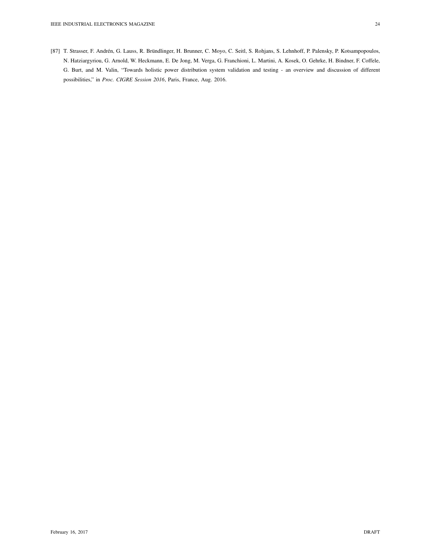[87] T. Strasser, F. Andrén, G. Lauss, R. Bründlinger, H. Brunner, C. Moyo, C. Seitl, S. Rohjans, S. Lehnhoff, P. Palensky, P. Kotsampopoulos, N. Hatziargyriou, G. Arnold, W. Heckmann, E. De Jong, M. Verga, G. Franchioni, L. Martini, A. Kosek, O. Gehrke, H. Bindner, F. Coffele, G. Burt, and M. Valin, "Towards holistic power distribution system validation and testing - an overview and discussion of different possibilities," in *Proc. CIGRE Session 2016*, Paris, France, Aug. 2016.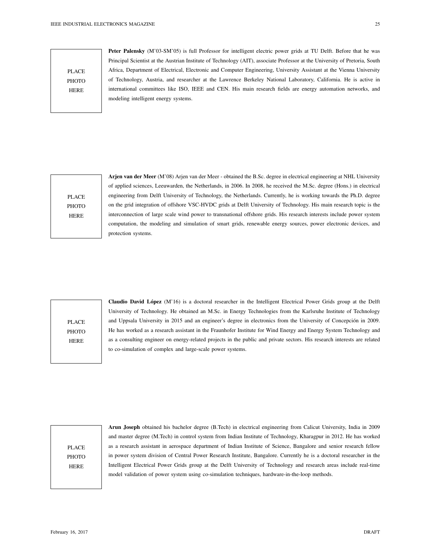PLACE **PHOTO** HERE

Peter Palensky (M'03-SM'05) is full Professor for intelligent electric power grids at TU Delft. Before that he was Principal Scientist at the Austrian Institute of Technology (AIT), associate Professor at the University of Pretoria, South Africa, Department of Electrical, Electronic and Computer Engineering, University Assistant at the Vienna University of Technology, Austria, and researcher at the Lawrence Berkeley National Laboratory, California. He is active in international committees like ISO, IEEE and CEN. His main research fields are energy automation networks, and modeling intelligent energy systems.

PLACE PHOTO HERE

Arjen van der Meer (M'08) Arjen van der Meer - obtained the B.Sc. degree in electrical engineering at NHL University of applied sciences, Leeuwarden, the Netherlands, in 2006. In 2008, he received the M.Sc. degree (Hons.) in electrical engineering from Delft University of Technology, the Netherlands. Currently, he is working towards the Ph.D. degree on the grid integration of offshore VSC-HVDC grids at Delft University of Technology. His main research topic is the interconnection of large scale wind power to transnational offshore grids. His research interests include power system computation, the modeling and simulation of smart grids, renewable energy sources, power electronic devices, and protection systems.

PLACE **PHOTO** HERE

Claudio David López (M'16) is a doctoral researcher in the Intelligent Electrical Power Grids group at the Delft University of Technology. He obtained an M.Sc. in Energy Technologies from the Karlsruhe Institute of Technology and Uppsala University in 2015 and an engineer's degree in electronics from the University of Concepción in 2009. He has worked as a research assistant in the Fraunhofer Institute for Wind Energy and Energy System Technology and as a consulting engineer on energy-related projects in the public and private sectors. His research interests are related to co-simulation of complex and large-scale power systems.

PLACE **PHOTO** HERE

Arun Joseph obtained his bachelor degree (B.Tech) in electrical engineering from Calicut University, India in 2009 and master degree (M.Tech) in control system from Indian Institute of Technology, Kharagpur in 2012. He has worked as a research assistant in aerospace department of Indian Institute of Science, Bangalore and senior research fellow in power system division of Central Power Research Institute, Bangalore. Currently he is a doctoral researcher in the Intelligent Electrical Power Grids group at the Delft University of Technology and research areas include real-time model validation of power system using co-simulation techniques, hardware-in-the-loop methods.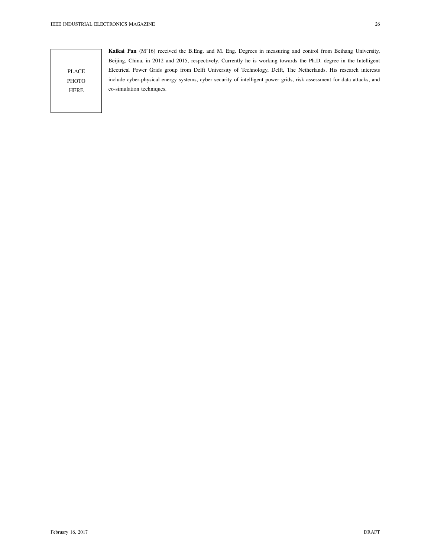Kaikai Pan (M'16) received the B.Eng. and M. Eng. Degrees in measuring and control from Beihang University, Beijing, China, in 2012 and 2015, respectively. Currently he is working towards the Ph.D. degree in the Intelligent Electrical Power Grids group from Delft University of Technology, Delft, The Netherlands. His research interests include cyber-physical energy systems, cyber security of intelligent power grids, risk assessment for data attacks, and co-simulation techniques.